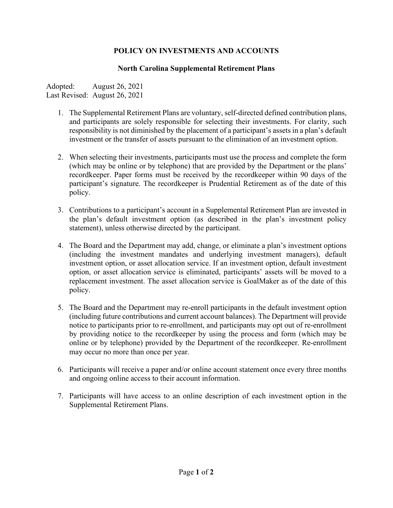## **POLICY ON INVESTMENTS AND ACCOUNTS**

## **North Carolina Supplemental Retirement Plans**

Adopted: August 26, 2021 Last Revised: August 26, 2021

- 1. The Supplemental Retirement Plans are voluntary, self-directed defined contribution plans, and participants are solely responsible for selecting their investments. For clarity, such responsibility is not diminished by the placement of a participant's assets in a plan's default investment or the transfer of assets pursuant to the elimination of an investment option.
- 2. When selecting their investments, participants must use the process and complete the form (which may be online or by telephone) that are provided by the Department or the plans' recordkeeper. Paper forms must be received by the recordkeeper within 90 days of the participant's signature. The recordkeeper is Prudential Retirement as of the date of this policy.
- 3. Contributions to a participant's account in a Supplemental Retirement Plan are invested in the plan's default investment option (as described in the plan's investment policy statement), unless otherwise directed by the participant.
- 4. The Board and the Department may add, change, or eliminate a plan's investment options (including the investment mandates and underlying investment managers), default investment option, or asset allocation service. If an investment option, default investment option, or asset allocation service is eliminated, participants' assets will be moved to a replacement investment. The asset allocation service is GoalMaker as of the date of this policy.
- 5. The Board and the Department may re-enroll participants in the default investment option (including future contributions and current account balances). The Department will provide notice to participants prior to re-enrollment, and participants may opt out of re-enrollment by providing notice to the recordkeeper by using the process and form (which may be online or by telephone) provided by the Department of the recordkeeper. Re-enrollment may occur no more than once per year.
- 6. Participants will receive a paper and/or online account statement once every three months and ongoing online access to their account information.
- 7. Participants will have access to an online description of each investment option in the Supplemental Retirement Plans.